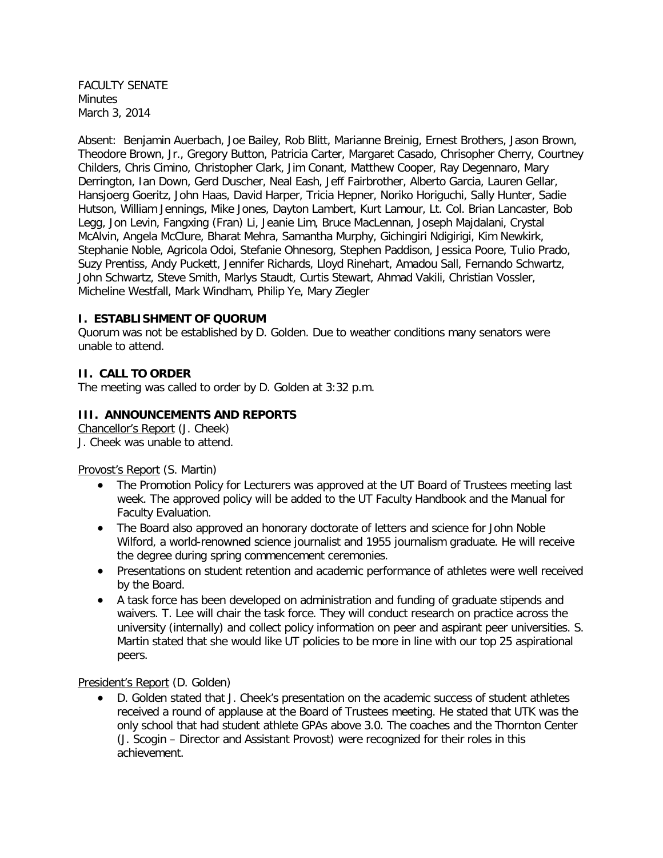FACULTY SENATE Minutes March 3, 2014

Absent: Benjamin Auerbach, Joe Bailey, Rob Blitt, Marianne Breinig, Ernest Brothers, Jason Brown, Theodore Brown, Jr., Gregory Button, Patricia Carter, Margaret Casado, Chrisopher Cherry, Courtney Childers, Chris Cimino, Christopher Clark, Jim Conant, Matthew Cooper, Ray Degennaro, Mary Derrington, Ian Down, Gerd Duscher, Neal Eash, Jeff Fairbrother, Alberto Garcia, Lauren Gellar, Hansjoerg Goeritz, John Haas, David Harper, Tricia Hepner, Noriko Horiguchi, Sally Hunter, Sadie Hutson, William Jennings, Mike Jones, Dayton Lambert, Kurt Lamour, Lt. Col. Brian Lancaster, Bob Legg, Jon Levin, Fangxing (Fran) Li, Jeanie Lim, Bruce MacLennan, Joseph Majdalani, Crystal McAlvin, Angela McClure, Bharat Mehra, Samantha Murphy, Gichingiri Ndigirigi, Kim Newkirk, Stephanie Noble, Agricola Odoi, Stefanie Ohnesorg, Stephen Paddison, Jessica Poore, Tulio Prado, Suzy Prentiss, Andy Puckett, Jennifer Richards, Lloyd Rinehart, Amadou Sall, Fernando Schwartz, John Schwartz, Steve Smith, Marlys Staudt, Curtis Stewart, Ahmad Vakili, Christian Vossler, Micheline Westfall, Mark Windham, Philip Ye, Mary Ziegler

#### **I. ESTABLISHMENT OF QUORUM**

Quorum was not be established by D. Golden. Due to weather conditions many senators were unable to attend.

## **II. CALL TO ORDER**

The meeting was called to order by D. Golden at 3:32 p.m.

#### **III. ANNOUNCEMENTS AND REPORTS**

Chancellor's Report (J. Cheek) J. Cheek was unable to attend.

#### Provost's Report (S. Martin)

- The Promotion Policy for Lecturers was approved at the UT Board of Trustees meeting last week. The approved policy will be added to the UT Faculty Handbook and the Manual for Faculty Evaluation.
- The Board also approved an honorary doctorate of letters and science for John Noble Wilford, a world-renowned science journalist and 1955 journalism graduate. He will receive the degree during spring commencement ceremonies.
- Presentations on student retention and academic performance of athletes were well received by the Board.
- A task force has been developed on administration and funding of graduate stipends and waivers. T. Lee will chair the task force. They will conduct research on practice across the university (internally) and collect policy information on peer and aspirant peer universities. S. Martin stated that she would like UT policies to be more in line with our top 25 aspirational peers.

President's Report (D. Golden)

• D. Golden stated that J. Cheek's presentation on the academic success of student athletes received a round of applause at the Board of Trustees meeting. He stated that UTK was the only school that had student athlete GPAs above 3.0. The coaches and the Thornton Center (J. Scogin – Director and Assistant Provost) were recognized for their roles in this achievement.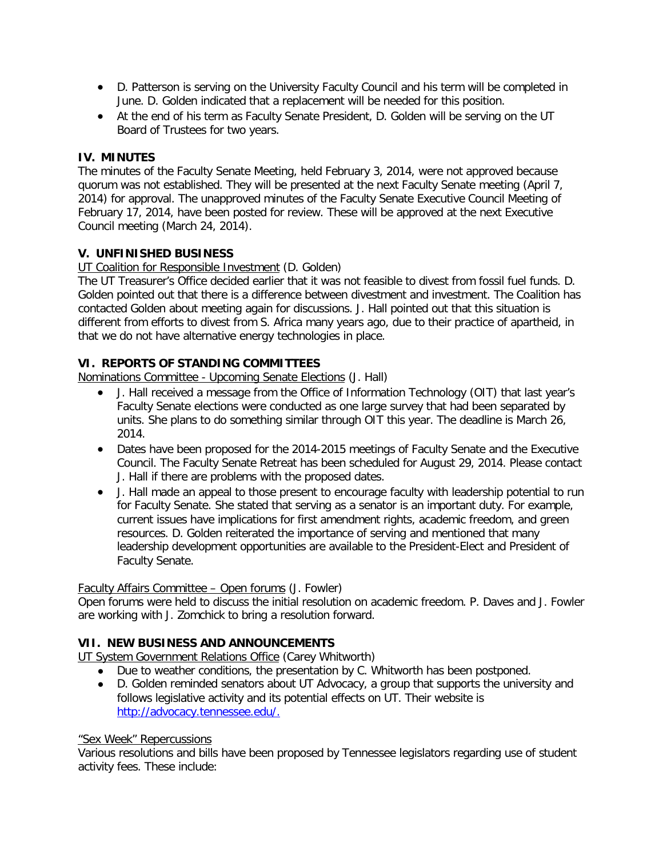- D. Patterson is serving on the University Faculty Council and his term will be completed in June. D. Golden indicated that a replacement will be needed for this position.
- At the end of his term as Faculty Senate President, D. Golden will be serving on the UT Board of Trustees for two years.

## **IV. MINUTES**

The minutes of the Faculty Senate Meeting, held February 3, 2014, were not approved because quorum was not established. They will be presented at the next Faculty Senate meeting (April 7, 2014) for approval. The unapproved minutes of the Faculty Senate Executive Council Meeting of February 17, 2014, have been posted for review. These will be approved at the next Executive Council meeting (March 24, 2014).

## **V. UNFINISHED BUSINESS**

#### UT Coalition for Responsible Investment (D. Golden)

The UT Treasurer's Office decided earlier that it was not feasible to divest from fossil fuel funds. D. Golden pointed out that there is a difference between divestment and investment. The Coalition has contacted Golden about meeting again for discussions. J. Hall pointed out that this situation is different from efforts to divest from S. Africa many years ago, due to their practice of apartheid, in that we do not have alternative energy technologies in place.

## **VI. REPORTS OF STANDING COMMITTEES**

Nominations Committee - Upcoming Senate Elections (J. Hall)

- J. Hall received a message from the Office of Information Technology (OIT) that last year's Faculty Senate elections were conducted as one large survey that had been separated by units. She plans to do something similar through OIT this year. The deadline is March 26, 2014.
- Dates have been proposed for the 2014-2015 meetings of Faculty Senate and the Executive Council. The Faculty Senate Retreat has been scheduled for August 29, 2014. Please contact J. Hall if there are problems with the proposed dates.
- J. Hall made an appeal to those present to encourage faculty with leadership potential to run for Faculty Senate. She stated that serving as a senator is an important duty. For example, current issues have implications for first amendment rights, academic freedom, and green resources. D. Golden reiterated the importance of serving and mentioned that many leadership development opportunities are available to the President-Elect and President of Faculty Senate.

#### Faculty Affairs Committee – Open forums (J. Fowler)

Open forums were held to discuss the initial resolution on academic freedom. P. Daves and J. Fowler are working with J. Zomchick to bring a resolution forward.

### **VII. NEW BUSINESS AND ANNOUNCEMENTS**

UT System Government Relations Office (Carey Whitworth)

- Due to weather conditions, the presentation by C. Whitworth has been postponed.
- D. Golden reminded senators about UT Advocacy, a group that supports the university and follows legislative activity and its potential effects on UT. Their website is [http://advocacy.tennessee.edu/.](http://advocacy.tennessee.edu/)

#### "Sex Week" Repercussions

Various resolutions and bills have been proposed by Tennessee legislators regarding use of student activity fees. These include: